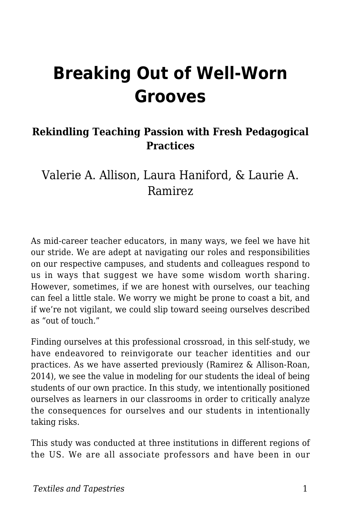# **Breaking Out of Well-Worn Grooves**

#### **Rekindling Teaching Passion with Fresh Pedagogical Practices**

Valerie A. Allison, Laura Haniford, & Laurie A. Ramirez

As mid-career teacher educators, in many ways, we feel we have hit our stride. We are adept at navigating our roles and responsibilities on our respective campuses, and students and colleagues respond to us in ways that suggest we have some wisdom worth sharing. However, sometimes, if we are honest with ourselves, our teaching can feel a little stale. We worry we might be prone to coast a bit, and if we're not vigilant, we could slip toward seeing ourselves described as "out of touch."

Finding ourselves at this professional crossroad, in this self-study, we have endeavored to reinvigorate our teacher identities and our practices. As we have asserted previously (Ramirez & Allison-Roan, 2014), we see the value in modeling for our students the ideal of being students of our own practice. In this study, we intentionally positioned ourselves as learners in our classrooms in order to critically analyze the consequences for ourselves and our students in intentionally taking risks.

This study was conducted at three institutions in different regions of the US. We are all associate professors and have been in our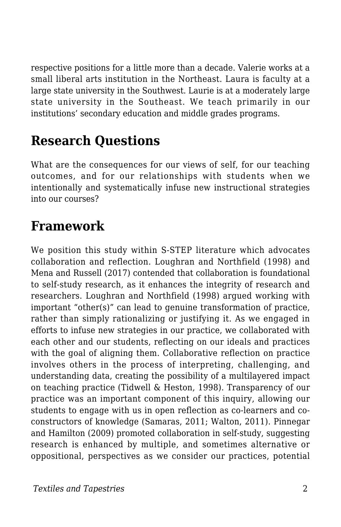respective positions for a little more than a decade. Valerie works at a small liberal arts institution in the Northeast. Laura is faculty at a large state university in the Southwest. Laurie is at a moderately large state university in the Southeast. We teach primarily in our institutions' secondary education and middle grades programs.

# **Research Questions**

What are the consequences for our views of self, for our teaching outcomes, and for our relationships with students when we intentionally and systematically infuse new instructional strategies into our courses?

#### **Framework**

We position this study within S-STEP literature which advocates collaboration and reflection. Loughran and Northfield (1998) and Mena and Russell (2017) contended that collaboration is foundational to self-study research, as it enhances the integrity of research and researchers. Loughran and Northfield (1998) argued working with important "other(s)" can lead to genuine transformation of practice, rather than simply rationalizing or justifying it. As we engaged in efforts to infuse new strategies in our practice, we collaborated with each other and our students, reflecting on our ideals and practices with the goal of aligning them. Collaborative reflection on practice involves others in the process of interpreting, challenging, and understanding data, creating the possibility of a multilayered impact on teaching practice (Tidwell & Heston, 1998). Transparency of our practice was an important component of this inquiry, allowing our students to engage with us in open reflection as co-learners and coconstructors of knowledge (Samaras, 2011; Walton, 2011). Pinnegar and Hamilton (2009) promoted collaboration in self-study, suggesting research is enhanced by multiple, and sometimes alternative or oppositional, perspectives as we consider our practices, potential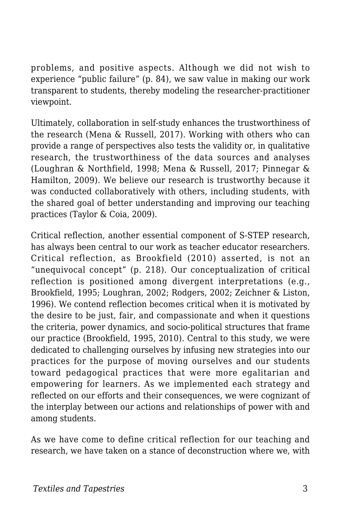problems, and positive aspects. Although we did not wish to experience "public failure" (p. 84), we saw value in making our work transparent to students, thereby modeling the researcher-practitioner viewpoint.

Ultimately, collaboration in self-study enhances the trustworthiness of the research (Mena & Russell, 2017). Working with others who can provide a range of perspectives also tests the validity or, in qualitative research, the trustworthiness of the data sources and analyses (Loughran & Northfield, 1998; Mena & Russell, 2017; Pinnegar & Hamilton, 2009). We believe our research is trustworthy because it was conducted collaboratively with others, including students, with the shared goal of better understanding and improving our teaching practices (Taylor & Coia, 2009).

Critical reflection, another essential component of S-STEP research, has always been central to our work as teacher educator researchers. Critical reflection, as Brookfield (2010) asserted, is not an "unequivocal concept" (p. 218). Our conceptualization of critical reflection is positioned among divergent interpretations (e.g., Brookfield, 1995; Loughran, 2002; Rodgers, 2002; Zeichner & Liston, 1996). We contend reflection becomes critical when it is motivated by the desire to be just, fair, and compassionate and when it questions the criteria, power dynamics, and socio-political structures that frame our practice (Brookfield, 1995, 2010). Central to this study, we were dedicated to challenging ourselves by infusing new strategies into our practices for the purpose of moving ourselves and our students toward pedagogical practices that were more egalitarian and empowering for learners. As we implemented each strategy and reflected on our efforts and their consequences, we were cognizant of the interplay between our actions and relationships of power with and among students.

As we have come to define critical reflection for our teaching and research, we have taken on a stance of deconstruction where we, with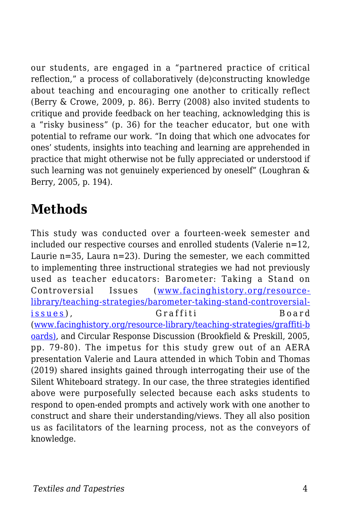our students, are engaged in a "partnered practice of critical reflection," a process of collaboratively (de)constructing knowledge about teaching and encouraging one another to critically reflect (Berry & Crowe, 2009, p. 86). Berry (2008) also invited students to critique and provide feedback on her teaching, acknowledging this is a "risky business" (p. 36) for the teacher educator, but one with potential to reframe our work. "In doing that which one advocates for ones' students, insights into teaching and learning are apprehended in practice that might otherwise not be fully appreciated or understood if such learning was not genuinely experienced by oneself" (Loughran & Berry, 2005, p. 194).

# **Methods**

This study was conducted over a fourteen-week semester and included our respective courses and enrolled students (Valerie n=12, Laurie  $n=35$ , Laura  $n=23$ ). During the semester, we each committed to implementing three instructional strategies we had not previously used as teacher educators: Barometer: Taking a Stand on Controversial Issues ([www.facinghistory.org/resource](http://www.facinghistory.org/resource-%20library/teaching-strategies/barometer-taking-stand-controversial-issues)[library/teaching-strategies/barometer-taking-stand-controversial](http://www.facinghistory.org/resource-%20library/teaching-strategies/barometer-taking-stand-controversial-issues)[issues](http://www.facinghistory.org/resource-%20library/teaching-strategies/barometer-taking-stand-controversial-issues) ), Graffiti Board ([www.facinghistory.org/resource-library/teaching-strategies/graffiti-b](http://www.facinghistory.org/resource-library/teaching-strategies/graffiti-boards)) [oards\),](http://www.facinghistory.org/resource-library/teaching-strategies/graffiti-boards)) and Circular Response Discussion (Brookfield & Preskill, 2005, pp. 79-80). The impetus for this study grew out of an AERA presentation Valerie and Laura attended in which Tobin and Thomas (2019) shared insights gained through interrogating their use of the Silent Whiteboard strategy. In our case, the three strategies identified above were purposefully selected because each asks students to respond to open-ended prompts and actively work with one another to construct and share their understanding/views. They all also position us as facilitators of the learning process, not as the conveyors of knowledge.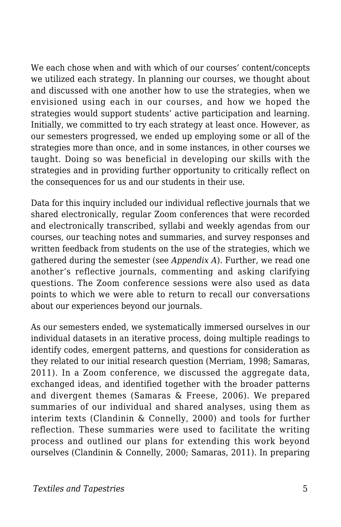We each chose when and with which of our courses' content/concepts we utilized each strategy. In planning our courses, we thought about and discussed with one another how to use the strategies, when we envisioned using each in our courses, and how we hoped the strategies would support students' active participation and learning. Initially, we committed to try each strategy at least once. However, as our semesters progressed, we ended up employing some or all of the strategies more than once, and in some instances, in other courses we taught. Doing so was beneficial in developing our skills with the strategies and in providing further opportunity to critically reflect on the consequences for us and our students in their use.

Data for this inquiry included our individual reflective journals that we shared electronically, regular Zoom conferences that were recorded and electronically transcribed, syllabi and weekly agendas from our courses, our teaching notes and summaries, and survey responses and written feedback from students on the use of the strategies, which we gathered during the semester (see *Appendix A*). Further, we read one another's reflective journals, commenting and asking clarifying questions. The Zoom conference sessions were also used as data points to which we were able to return to recall our conversations about our experiences beyond our journals.

As our semesters ended, we systematically immersed ourselves in our individual datasets in an iterative process, doing multiple readings to identify codes, emergent patterns, and questions for consideration as they related to our initial research question (Merriam, 1998; Samaras, 2011). In a Zoom conference, we discussed the aggregate data, exchanged ideas, and identified together with the broader patterns and divergent themes (Samaras & Freese, 2006). We prepared summaries of our individual and shared analyses, using them as interim texts (Clandinin & Connelly, 2000) and tools for further reflection. These summaries were used to facilitate the writing process and outlined our plans for extending this work beyond ourselves (Clandinin & Connelly, 2000; Samaras, 2011). In preparing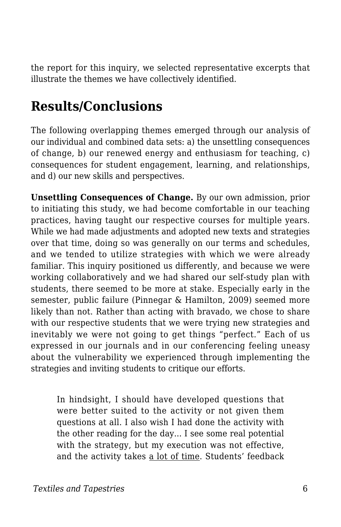the report for this inquiry, we selected representative excerpts that illustrate the themes we have collectively identified.

## **Results/Conclusions**

The following overlapping themes emerged through our analysis of our individual and combined data sets: a) the unsettling consequences of change, b) our renewed energy and enthusiasm for teaching, c) consequences for student engagement, learning, and relationships, and d) our new skills and perspectives.

**Unsettling Consequences of Change.** By our own admission, prior to initiating this study, we had become comfortable in our teaching practices, having taught our respective courses for multiple years. While we had made adjustments and adopted new texts and strategies over that time, doing so was generally on our terms and schedules, and we tended to utilize strategies with which we were already familiar. This inquiry positioned us differently, and because we were working collaboratively and we had shared our self-study plan with students, there seemed to be more at stake. Especially early in the semester, public failure (Pinnegar & Hamilton, 2009) seemed more likely than not. Rather than acting with bravado, we chose to share with our respective students that we were trying new strategies and inevitably we were not going to get things "perfect." Each of us expressed in our journals and in our conferencing feeling uneasy about the vulnerability we experienced through implementing the strategies and inviting students to critique our efforts.

In hindsight, I should have developed questions that were better suited to the activity or not given them questions at all. I also wish I had done the activity with the other reading for the day... I see some real potential with the strategy, but my execution was not effective, and the activity takes a lot of time. Students' feedback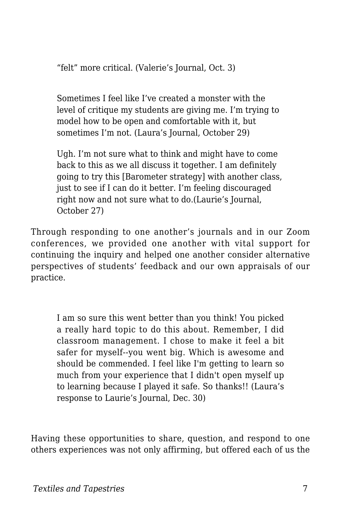"felt" more critical. (Valerie's Journal, Oct. 3)

Sometimes I feel like I've created a monster with the level of critique my students are giving me. I'm trying to model how to be open and comfortable with it, but sometimes I'm not. (Laura's Journal, October 29)

Ugh. I'm not sure what to think and might have to come back to this as we all discuss it together. I am definitely going to try this [Barometer strategy] with another class, just to see if I can do it better. I'm feeling discouraged right now and not sure what to do.(Laurie's Journal, October 27)

Through responding to one another's journals and in our Zoom conferences, we provided one another with vital support for continuing the inquiry and helped one another consider alternative perspectives of students' feedback and our own appraisals of our practice.

I am so sure this went better than you think! You picked a really hard topic to do this about. Remember, I did classroom management. I chose to make it feel a bit safer for myself--you went big. Which is awesome and should be commended. I feel like I'm getting to learn so much from your experience that I didn't open myself up to learning because I played it safe. So thanks!! (Laura's response to Laurie's Journal, Dec. 30)

Having these opportunities to share, question, and respond to one others experiences was not only affirming, but offered each of us the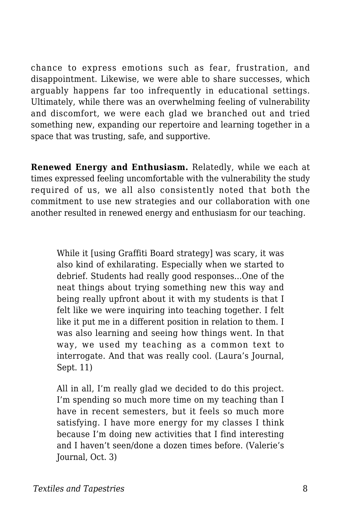chance to express emotions such as fear, frustration, and disappointment. Likewise, we were able to share successes, which arguably happens far too infrequently in educational settings. Ultimately, while there was an overwhelming feeling of vulnerability and discomfort, we were each glad we branched out and tried something new, expanding our repertoire and learning together in a space that was trusting, safe, and supportive.

**Renewed Energy and Enthusiasm.** Relatedly, while we each at times expressed feeling uncomfortable with the vulnerability the study required of us, we all also consistently noted that both the commitment to use new strategies and our collaboration with one another resulted in renewed energy and enthusiasm for our teaching.

While it [using Graffiti Board strategy] was scary, it was also kind of exhilarating. Especially when we started to debrief. Students had really good responses...One of the neat things about trying something new this way and being really upfront about it with my students is that I felt like we were inquiring into teaching together. I felt like it put me in a different position in relation to them. I was also learning and seeing how things went. In that way, we used my teaching as a common text to interrogate. And that was really cool. (Laura's Journal, Sept. 11)

All in all, I'm really glad we decided to do this project. I'm spending so much more time on my teaching than I have in recent semesters, but it feels so much more satisfying. I have more energy for my classes I think because I'm doing new activities that I find interesting and I haven't seen/done a dozen times before. (Valerie's Journal, Oct. 3)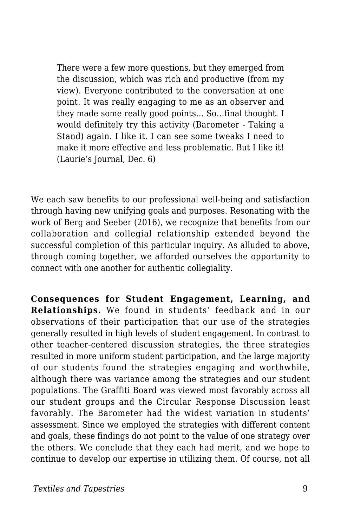There were a few more questions, but they emerged from the discussion, which was rich and productive (from my view). Everyone contributed to the conversation at one point. It was really engaging to me as an observer and they made some really good points… So…final thought. I would definitely try this activity (Barometer - Taking a Stand) again. I like it. I can see some tweaks I need to make it more effective and less problematic. But I like it! (Laurie's Journal, Dec. 6)

We each saw benefits to our professional well-being and satisfaction through having new unifying goals and purposes. Resonating with the work of Berg and Seeber (2016), we recognize that benefits from our collaboration and collegial relationship extended beyond the successful completion of this particular inquiry. As alluded to above, through coming together, we afforded ourselves the opportunity to connect with one another for authentic collegiality.

**Consequences for Student Engagement, Learning, and Relationships.** We found in students' feedback and in our observations of their participation that our use of the strategies generally resulted in high levels of student engagement. In contrast to other teacher-centered discussion strategies, the three strategies resulted in more uniform student participation, and the large majority of our students found the strategies engaging and worthwhile, although there was variance among the strategies and our student populations. The Graffiti Board was viewed most favorably across all our student groups and the Circular Response Discussion least favorably. The Barometer had the widest variation in students' assessment. Since we employed the strategies with different content and goals, these findings do not point to the value of one strategy over the others. We conclude that they each had merit, and we hope to continue to develop our expertise in utilizing them. Of course, not all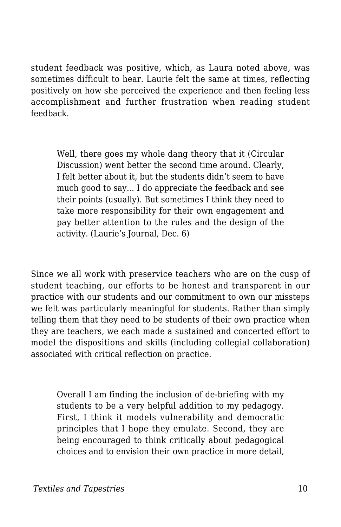student feedback was positive, which, as Laura noted above, was sometimes difficult to hear. Laurie felt the same at times, reflecting positively on how she perceived the experience and then feeling less accomplishment and further frustration when reading student feedback.

Well, there goes my whole dang theory that it (Circular Discussion) went better the second time around. Clearly, I felt better about it, but the students didn't seem to have much good to say... I do appreciate the feedback and see their points (usually). But sometimes I think they need to take more responsibility for their own engagement and pay better attention to the rules and the design of the activity. (Laurie's Journal, Dec. 6)

Since we all work with preservice teachers who are on the cusp of student teaching, our efforts to be honest and transparent in our practice with our students and our commitment to own our missteps we felt was particularly meaningful for students. Rather than simply telling them that they need to be students of their own practice when they are teachers, we each made a sustained and concerted effort to model the dispositions and skills (including collegial collaboration) associated with critical reflection on practice.

Overall I am finding the inclusion of de-briefing with my students to be a very helpful addition to my pedagogy. First, I think it models vulnerability and democratic principles that I hope they emulate. Second, they are being encouraged to think critically about pedagogical choices and to envision their own practice in more detail,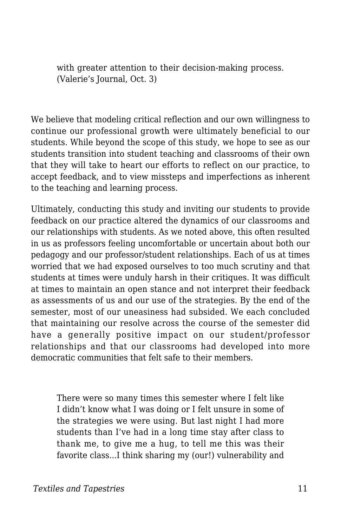with greater attention to their decision-making process. (Valerie's Journal, Oct. 3)

We believe that modeling critical reflection and our own willingness to continue our professional growth were ultimately beneficial to our students. While beyond the scope of this study, we hope to see as our students transition into student teaching and classrooms of their own that they will take to heart our efforts to reflect on our practice, to accept feedback, and to view missteps and imperfections as inherent to the teaching and learning process.

Ultimately, conducting this study and inviting our students to provide feedback on our practice altered the dynamics of our classrooms and our relationships with students. As we noted above, this often resulted in us as professors feeling uncomfortable or uncertain about both our pedagogy and our professor/student relationships. Each of us at times worried that we had exposed ourselves to too much scrutiny and that students at times were unduly harsh in their critiques. It was difficult at times to maintain an open stance and not interpret their feedback as assessments of us and our use of the strategies. By the end of the semester, most of our uneasiness had subsided. We each concluded that maintaining our resolve across the course of the semester did have a generally positive impact on our student/professor relationships and that our classrooms had developed into more democratic communities that felt safe to their members.

There were so many times this semester where I felt like I didn't know what I was doing or I felt unsure in some of the strategies we were using. But last night I had more students than I've had in a long time stay after class to thank me, to give me a hug, to tell me this was their favorite class...I think sharing my (our!) vulnerability and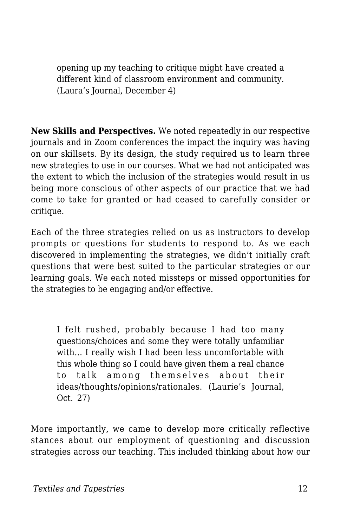opening up my teaching to critique might have created a different kind of classroom environment and community. (Laura's Journal, December 4)

**New Skills and Perspectives.** We noted repeatedly in our respective journals and in Zoom conferences the impact the inquiry was having on our skillsets. By its design, the study required us to learn three new strategies to use in our courses. What we had not anticipated was the extent to which the inclusion of the strategies would result in us being more conscious of other aspects of our practice that we had come to take for granted or had ceased to carefully consider or critique.

Each of the three strategies relied on us as instructors to develop prompts or questions for students to respond to. As we each discovered in implementing the strategies, we didn't initially craft questions that were best suited to the particular strategies or our learning goals. We each noted missteps or missed opportunities for the strategies to be engaging and/or effective.

I felt rushed, probably because I had too many questions/choices and some they were totally unfamiliar with... I really wish I had been less uncomfortable with this whole thing so I could have given them a real chance to talk among themselves about their ideas/thoughts/opinions/rationales. (Laurie's Journal, Oct. 27)

More importantly, we came to develop more critically reflective stances about our employment of questioning and discussion strategies across our teaching. This included thinking about how our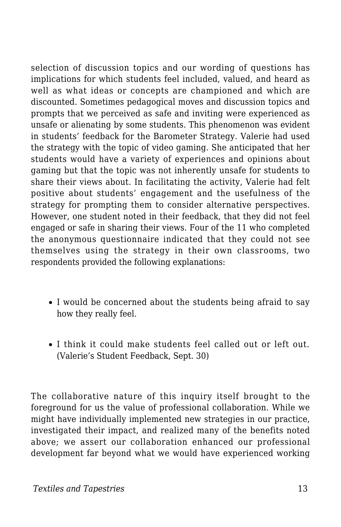selection of discussion topics and our wording of questions has implications for which students feel included, valued, and heard as well as what ideas or concepts are championed and which are discounted. Sometimes pedagogical moves and discussion topics and prompts that we perceived as safe and inviting were experienced as unsafe or alienating by some students. This phenomenon was evident in students' feedback for the Barometer Strategy. Valerie had used the strategy with the topic of video gaming. She anticipated that her students would have a variety of experiences and opinions about gaming but that the topic was not inherently unsafe for students to share their views about. In facilitating the activity, Valerie had felt positive about students' engagement and the usefulness of the strategy for prompting them to consider alternative perspectives. However, one student noted in their feedback, that they did not feel engaged or safe in sharing their views. Four of the 11 who completed the anonymous questionnaire indicated that they could not see themselves using the strategy in their own classrooms, two respondents provided the following explanations:

- I would be concerned about the students being afraid to say how they really feel.
- I think it could make students feel called out or left out. (Valerie's Student Feedback, Sept. 30)

The collaborative nature of this inquiry itself brought to the foreground for us the value of professional collaboration. While we might have individually implemented new strategies in our practice, investigated their impact, and realized many of the benefits noted above; we assert our collaboration enhanced our professional development far beyond what we would have experienced working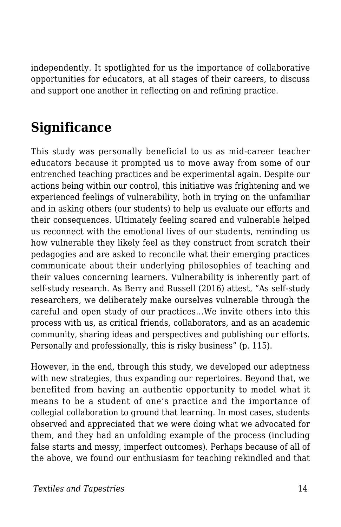independently. It spotlighted for us the importance of collaborative opportunities for educators, at all stages of their careers, to discuss and support one another in reflecting on and refining practice.

### **Significance**

This study was personally beneficial to us as mid-career teacher educators because it prompted us to move away from some of our entrenched teaching practices and be experimental again. Despite our actions being within our control, this initiative was frightening and we experienced feelings of vulnerability, both in trying on the unfamiliar and in asking others (our students) to help us evaluate our efforts and their consequences. Ultimately feeling scared and vulnerable helped us reconnect with the emotional lives of our students, reminding us how vulnerable they likely feel as they construct from scratch their pedagogies and are asked to reconcile what their emerging practices communicate about their underlying philosophies of teaching and their values concerning learners. Vulnerability is inherently part of self-study research. As Berry and Russell (2016) attest, "As self-study researchers, we deliberately make ourselves vulnerable through the careful and open study of our practices...We invite others into this process with us, as critical friends, collaborators, and as an academic community, sharing ideas and perspectives and publishing our efforts. Personally and professionally, this is risky business" (p. 115).

However, in the end, through this study, we developed our adeptness with new strategies, thus expanding our repertoires. Beyond that, we benefited from having an authentic opportunity to model what it means to be a student of one's practice and the importance of collegial collaboration to ground that learning. In most cases, students observed and appreciated that we were doing what we advocated for them, and they had an unfolding example of the process (including false starts and messy, imperfect outcomes). Perhaps because of all of the above, we found our enthusiasm for teaching rekindled and that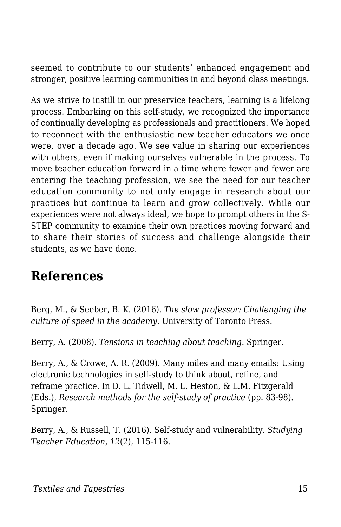seemed to contribute to our students' enhanced engagement and stronger, positive learning communities in and beyond class meetings.

As we strive to instill in our preservice teachers, learning is a lifelong process. Embarking on this self-study, we recognized the importance of continually developing as professionals and practitioners. We hoped to reconnect with the enthusiastic new teacher educators we once were, over a decade ago. We see value in sharing our experiences with others, even if making ourselves vulnerable in the process. To move teacher education forward in a time where fewer and fewer are entering the teaching profession, we see the need for our teacher education community to not only engage in research about our practices but continue to learn and grow collectively. While our experiences were not always ideal, we hope to prompt others in the S-STEP community to examine their own practices moving forward and to share their stories of success and challenge alongside their students, as we have done.

#### **References**

Berg, M., & Seeber, B. K. (2016). *The slow professor: Challenging the culture of speed in the academy.* University of Toronto Press.

Berry, A. (2008). *Tensions in teaching about teaching.* Springer.

Berry, A., & Crowe, A. R. (2009). Many miles and many emails: Using electronic technologies in self-study to think about, refine, and reframe practice. In D. L. Tidwell, M. L. Heston, & L.M. Fitzgerald (Eds.), *Research methods for the self-study of practice* (pp. 83-98). Springer.

Berry, A., & Russell, T. (2016). Self-study and vulnerability. *Studying Teacher Education, 12*(2), 115-116.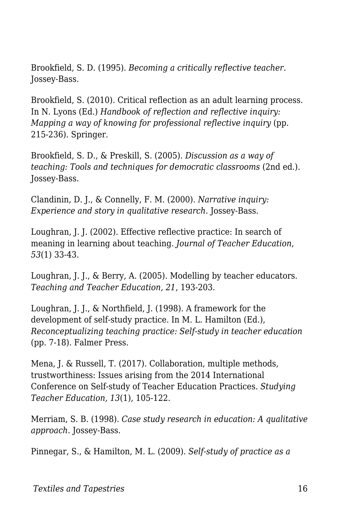Brookfield, S. D. (1995). *Becoming a critically reflective teacher*. Jossey-Bass.

Brookfield, S. (2010). Critical reflection as an adult learning process. In N. Lyons (Ed.) *Handbook of reflection and reflective inquiry: Mapping a way of knowing for professional reflective inquiry* (pp. 215-236). Springer.

Brookfield, S. D., & Preskill, S. (2005). *Discussion as a way of teaching: Tools and techniques for democratic classrooms* (2nd ed.)*.* Jossey-Bass.

Clandinin, D. J., & Connelly, F. M. (2000). *Narrative inquiry: Experience and story in qualitative research*. Jossey-Bass.

Loughran, J. J. (2002). Effective reflective practice: In search of meaning in learning about teaching. *Journal of Teacher Education*, *53*(1) 33-43.

Loughran, J. J., & Berry, A. (2005). Modelling by teacher educators. *Teaching and Teacher Education, 21*, 193-203.

Loughran, J. J., & Northfield, J. (1998). A framework for the development of self-study practice. In M. L. Hamilton (Ed.), *Reconceptualizing teaching practice: Self-study in teacher education* (pp. 7-18). Falmer Press.

Mena, J. & Russell, T. (2017). Collaboration, multiple methods, trustworthiness: Issues arising from the 2014 International Conference on Self-study of Teacher Education Practices. *Studying Teacher Education, 13*(1), 105-122.

Merriam, S. B. (1998). *Case study research in education: A qualitative approach*. Jossey-Bass.

Pinnegar, S., & Hamilton, M. L. (2009). *Self-study of practice as a*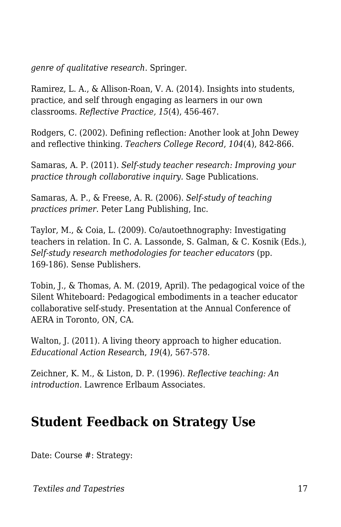*genre of qualitative research*. Springer.

Ramirez, L. A., & Allison-Roan, V. A. (2014). Insights into students, practice, and self through engaging as learners in our own classrooms. *Reflective Practice, 15*(4), 456-467.

Rodgers, C. (2002). Defining reflection: Another look at John Dewey and reflective thinking. *Teachers College Record*, *104*(4), 842-866.

Samaras, A. P. (2011). *Self-study teacher research: Improving your practice through collaborative inquiry.* Sage Publications.

Samaras, A. P., & Freese, A. R. (2006). *Self-study of teaching practices primer*. Peter Lang Publishing, Inc.

Taylor, M., & Coia, L. (2009). Co/autoethnography: Investigating teachers in relation. In C. A. Lassonde, S. Galman, & C. Kosnik (Eds.), *Self-study research methodologies for teacher educators* (pp. 169-186). Sense Publishers.

Tobin, J., & Thomas, A. M. (2019, April). The pedagogical voice of the Silent Whiteboard: Pedagogical embodiments in a teacher educator collaborative self-study. Presentation at the Annual Conference of AERA in Toronto, ON, CA.

Walton, J. (2011). A living theory approach to higher education. *Educational Action Researc*h, *19*(4), 567-578.

Zeichner, K. M., & Liston, D. P. (1996). *Reflective teaching: An introduction*. Lawrence Erlbaum Associates.

#### **Student Feedback on Strategy Use**

Date: Course #: Strategy:

*Textiles and Tapestries* 17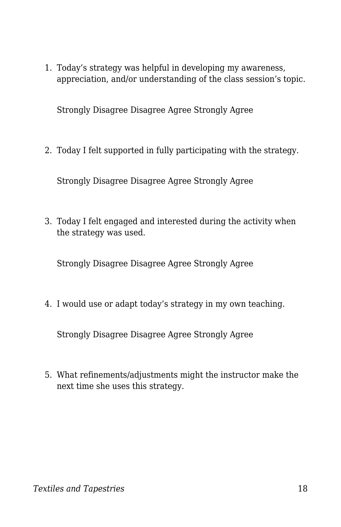1. Today's strategy was helpful in developing my awareness, appreciation, and/or understanding of the class session's topic.

Strongly Disagree Disagree Agree Strongly Agree

2. Today I felt supported in fully participating with the strategy.

Strongly Disagree Disagree Agree Strongly Agree

3. Today I felt engaged and interested during the activity when the strategy was used.

Strongly Disagree Disagree Agree Strongly Agree

4. I would use or adapt today's strategy in my own teaching.

Strongly Disagree Disagree Agree Strongly Agree

5. What refinements/adjustments might the instructor make the next time she uses this strategy.